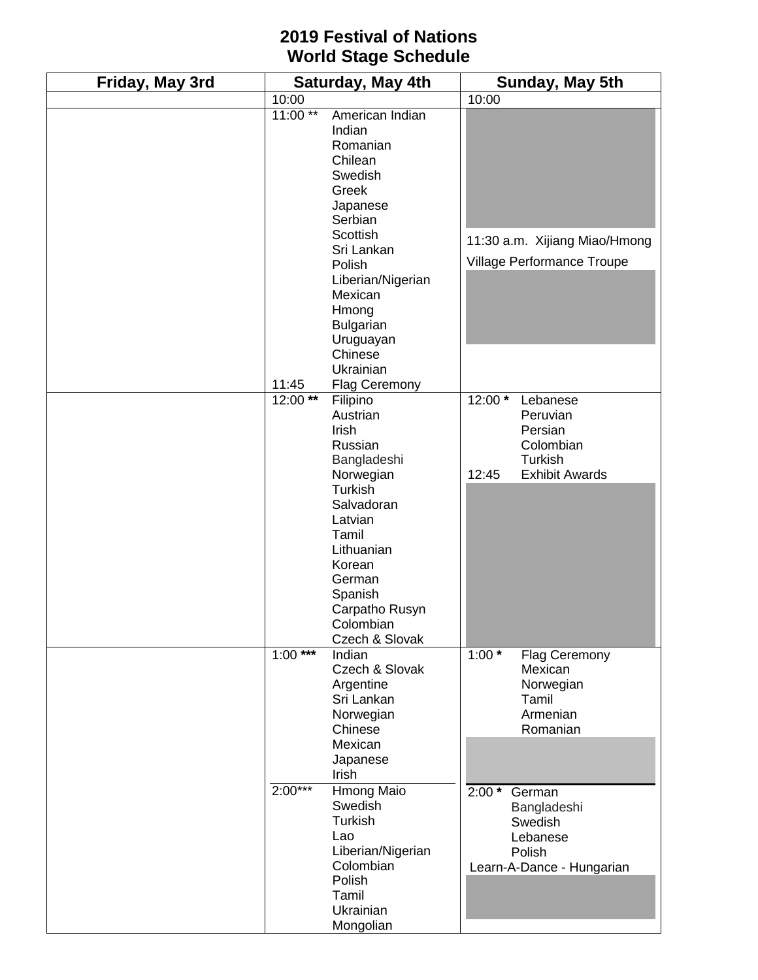## **2019 Festival of Nations World Stage Schedule**

| Friday, May 3rd | Saturday, May 4th      |                                                                                                                                                                                                                                         | Sunday, May 5th  |                                                                                         |
|-----------------|------------------------|-----------------------------------------------------------------------------------------------------------------------------------------------------------------------------------------------------------------------------------------|------------------|-----------------------------------------------------------------------------------------|
|                 | 10:00                  |                                                                                                                                                                                                                                         | 10:00            |                                                                                         |
|                 | $11:00**$              | American Indian<br>Indian<br>Romanian<br>Chilean<br>Swedish<br>Greek<br>Japanese<br>Serbian<br>Scottish<br>Sri Lankan<br>Polish<br>Liberian/Nigerian<br>Mexican<br>Hmong<br><b>Bulgarian</b><br>Uruguayan<br>Chinese                    |                  | 11:30 a.m. Xijiang Miao/Hmong<br>Village Performance Troupe                             |
|                 | 11:45                  | Ukrainian                                                                                                                                                                                                                               |                  |                                                                                         |
|                 | $12:00**$              | <b>Flag Ceremony</b><br>Filipino<br>Austrian<br>Irish<br>Russian<br>Bangladeshi<br>Norwegian<br>Turkish<br>Salvadoran<br>Latvian<br>Tamil<br>Lithuanian<br>Korean<br>German<br>Spanish<br>Carpatho Rusyn<br>Colombian<br>Czech & Slovak | 12:00 *<br>12:45 | Lebanese<br>Peruvian<br>Persian<br>Colombian<br><b>Turkish</b><br><b>Exhibit Awards</b> |
|                 | $1:00***$<br>$2:00***$ | Indian<br>Czech & Slovak<br>Argentine<br>Sri Lankan<br>Norwegian<br>Chinese<br>Mexican<br>Japanese<br>Irish                                                                                                                             | $1:00*$          | Flag Ceremony<br>Mexican<br>Norwegian<br>Tamil<br>Armenian<br>Romanian                  |
|                 |                        | Hmong Maio<br>Swedish<br>Turkish<br>Lao<br>Liberian/Nigerian<br>Colombian<br>Polish<br>Tamil<br>Ukrainian<br>Mongolian                                                                                                                  | $2:00*$          | German<br>Bangladeshi<br>Swedish<br>Lebanese<br>Polish<br>Learn-A-Dance - Hungarian     |